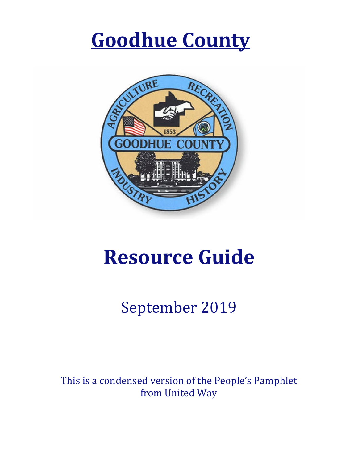# **[Goodhue](https://www.google.com/url?sa=i&rct=j&q=&esrc=s&source=images&cd=&ved=2ahUKEwjCxbrp783iAhXslVQKHYYDCx8QjRx6BAgBEAU&url=https://www.republican-eagle.com/news/government-and-politics/4149806-goodhue-county-shows-higher-voter-numbers-last-years-election&psig=AOvVaw2wtqXHdOvlz8kLCLyzzXbb&ust=1559670574655501) County**



# **Resource Guide**

# September 2019

This is a condensed version of the People's Pamphlet from United Way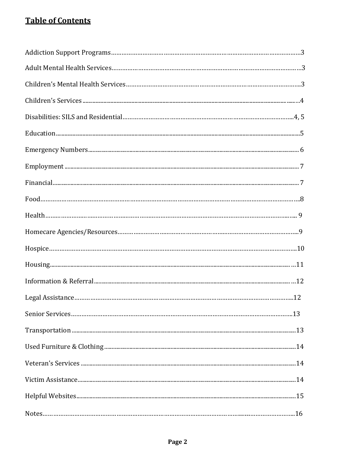#### **Table of Contents**

| Food. 8 |  |
|---------|--|
|         |  |
|         |  |
|         |  |
|         |  |
|         |  |
|         |  |
|         |  |
|         |  |
|         |  |
|         |  |
|         |  |
|         |  |
|         |  |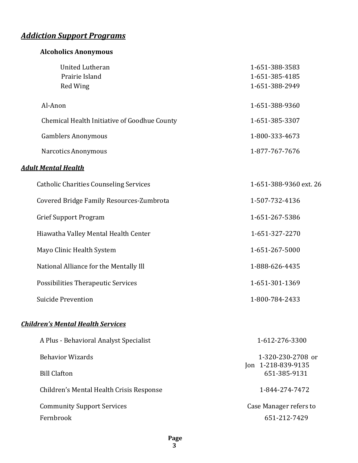## *Addiction Support Programs*

| <b>Alcoholics Anonymous</b>                                 |                                                    |
|-------------------------------------------------------------|----------------------------------------------------|
| <b>United Lutheran</b><br>Prairie Island<br><b>Red Wing</b> | 1-651-388-3583<br>1-651-385-4185<br>1-651-388-2949 |
| Al-Anon                                                     | 1-651-388-9360                                     |
| Chemical Health Initiative of Goodhue County                | 1-651-385-3307                                     |
| <b>Gamblers Anonymous</b>                                   | 1-800-333-4673                                     |
| <b>Narcotics Anonymous</b>                                  | 1-877-767-7676                                     |
| <b>Adult Mental Health</b>                                  |                                                    |
| <b>Catholic Charities Counseling Services</b>               | 1-651-388-9360 ext. 26                             |
| Covered Bridge Family Resources-Zumbrota                    | 1-507-732-4136                                     |
| <b>Grief Support Program</b>                                | 1-651-267-5386                                     |
| Hiawatha Valley Mental Health Center                        | 1-651-327-2270                                     |
| Mayo Clinic Health System                                   | 1-651-267-5000                                     |
| National Alliance for the Mentally Ill                      | 1-888-626-4435                                     |
| Possibilities Therapeutic Services                          | 1-651-301-1369                                     |
| <b>Suicide Prevention</b>                                   | 1-800-784-2433                                     |
| <b>Children's Mental Health Services</b>                    |                                                    |
| A Plus - Behavioral Analyst Specialist                      | 1-612-276-3300                                     |
| <b>Behavior Wizards</b>                                     | 1-320-230-2708 or                                  |
| <b>Bill Clafton</b>                                         | Jon 1-218-839-9135<br>651-385-9131                 |
| Children's Mental Health Crisis Response                    | 1-844-274-7472                                     |

Community Support Services **Case Manager refers** to Fernbrook 651-212-7429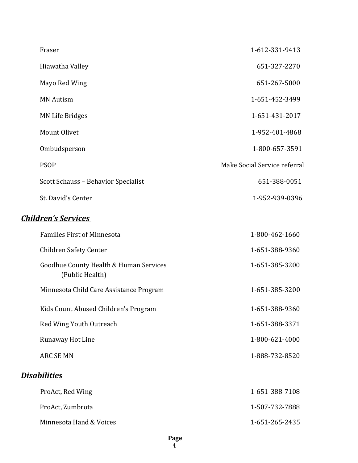| Fraser                              | 1-612-331-9413               |
|-------------------------------------|------------------------------|
| Hiawatha Valley                     | 651-327-2270                 |
| Mayo Red Wing                       | 651-267-5000                 |
| <b>MN</b> Autism                    | 1-651-452-3499               |
| <b>MN Life Bridges</b>              | 1-651-431-2017               |
| Mount Olivet                        | 1-952-401-4868               |
| Ombudsperson                        | 1-800-657-3591               |
| <b>PSOP</b>                         | Make Social Service referral |
| Scott Schauss - Behavior Specialist | 651-388-0051                 |
| St. David's Center                  | 1-952-939-0396               |
|                                     |                              |

#### *Children's Services*

| <b>Families First of Minnesota</b>                        | 1-800-462-1660 |
|-----------------------------------------------------------|----------------|
| <b>Children Safety Center</b>                             | 1-651-388-9360 |
| Goodhue County Health & Human Services<br>(Public Health) | 1-651-385-3200 |
| Minnesota Child Care Assistance Program                   | 1-651-385-3200 |
| Kids Count Abused Children's Program                      | 1-651-388-9360 |
| Red Wing Youth Outreach                                   | 1-651-388-3371 |
| Runaway Hot Line                                          | 1-800-621-4000 |
| <b>ARC SE MN</b>                                          | 1-888-732-8520 |
| <u>Disabilities</u>                                       |                |
| ProAct, Red Wing                                          | 1-651-388-7108 |
| ProAct, Zumbrota                                          | 1-507-732-7888 |
| Minnesota Hand & Voices                                   | 1-651-265-2435 |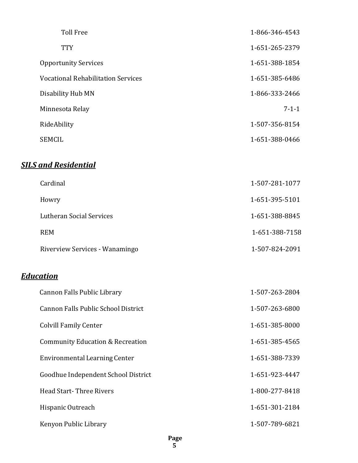| <b>Toll Free</b>                          | 1-866-346-4543 |
|-------------------------------------------|----------------|
| <b>TTY</b>                                | 1-651-265-2379 |
| <b>Opportunity Services</b>               | 1-651-388-1854 |
| <b>Vocational Rehabilitation Services</b> | 1-651-385-6486 |
| Disability Hub MN                         | 1-866-333-2466 |
| Minnesota Relay                           | $7 - 1 - 1$    |
| RideAbility                               | 1-507-356-8154 |
| <b>SEMCIL</b>                             | 1-651-388-0466 |
|                                           |                |

### *SILS and Residential*

| Cardinal                       | 1-507-281-1077 |
|--------------------------------|----------------|
| Howry                          | 1-651-395-5101 |
| Lutheran Social Services       | 1-651-388-8845 |
| <b>REM</b>                     | 1-651-388-7158 |
| Riverview Services - Wanamingo | 1-507-824-2091 |

#### *Education*

| Cannon Falls Public Library                 | 1-507-263-2804 |
|---------------------------------------------|----------------|
| Cannon Falls Public School District         | 1-507-263-6800 |
| <b>Colvill Family Center</b>                | 1-651-385-8000 |
| <b>Community Education &amp; Recreation</b> | 1-651-385-4565 |
| Environmental Learning Center               | 1-651-388-7339 |
| Goodhue Independent School District         | 1-651-923-4447 |
| <b>Head Start-Three Rivers</b>              | 1-800-277-8418 |
| Hispanic Outreach                           | 1-651-301-2184 |
| Kenyon Public Library                       | 1-507-789-6821 |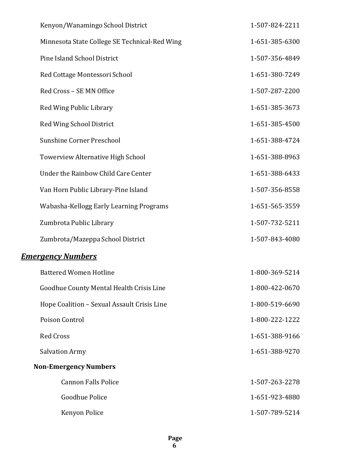| Kenyon/Wanamingo School District              | 1-507-824-2211 |
|-----------------------------------------------|----------------|
| Minnesota State College SE Technical-Red Wing | 1-651-385-6300 |
| Pine Island School District                   | 1-507-356-4849 |
| Red Cottage Montessori School                 | 1-651-380-7249 |
| Red Cross - SE MN Office                      | 1-507-287-2200 |
| Red Wing Public Library                       | 1-651-385-3673 |
| Red Wing School District                      | 1-651-385-4500 |
| <b>Sunshine Corner Preschool</b>              | 1-651-388-4724 |
| Towerview Alternative High School             | 1-651-388-8963 |
| Under the Rainbow Child Care Center           | 1-651-388-6433 |
| Van Horn Public Library-Pine Island           | 1-507-356-8558 |
| Wabasha-Kellogg Early Learning Programs       | 1-651-565-3559 |
| Zumbrota Public Library                       | 1-507-732-5211 |
| Zumbrota/Mazeppa School District              | 1-507-843-4080 |
| <b>Emergency Numbers</b>                      |                |
| <b>Battered Women Hotline</b>                 | 1-800-369-5214 |
| Goodhue County Mental Health Crisis Line      | 1-800-422-0670 |
| Hope Coalition - Sexual Assault Crisis Line   | 1-800-519-6690 |
| Poison Control                                | 1-800-222-1222 |
| <b>Red Cross</b>                              | 1-651-388-9166 |
| <b>Salvation Army</b>                         | 1-651-388-9270 |
| <b>Non-Emergency Numbers</b>                  |                |
| <b>Cannon Falls Police</b>                    | 1-507-263-2278 |
| Goodhue Police                                | 1-651-923-4880 |
| Kenyon Police                                 | 1-507-789-5214 |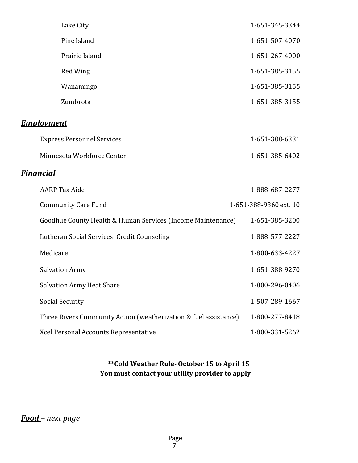| Lake City                                                        | 1-651-345-3344         |
|------------------------------------------------------------------|------------------------|
| Pine Island                                                      | 1-651-507-4070         |
| Prairie Island                                                   | 1-651-267-4000         |
| Red Wing                                                         | 1-651-385-3155         |
| Wanamingo                                                        | 1-651-385-3155         |
| Zumbrota                                                         | 1-651-385-3155         |
| <b>Employment</b>                                                |                        |
| <b>Express Personnel Services</b>                                | 1-651-388-6331         |
| Minnesota Workforce Center                                       | 1-651-385-6402         |
| <b>Financial</b>                                                 |                        |
| <b>AARP</b> Tax Aide                                             | 1-888-687-2277         |
| <b>Community Care Fund</b>                                       | 1-651-388-9360 ext. 10 |
| Goodhue County Health & Human Services (Income Maintenance)      | 1-651-385-3200         |
| Lutheran Social Services- Credit Counseling                      | 1-888-577-2227         |
| Medicare                                                         | 1-800-633-4227         |
| <b>Salvation Army</b>                                            | 1-651-388-9270         |
| <b>Salvation Army Heat Share</b>                                 | 1-800-296-0406         |
| <b>Social Security</b>                                           | 1-507-289-1667         |
| Three Rivers Community Action (weatherization & fuel assistance) | 1-800-277-8418         |
| Xcel Personal Accounts Representative                            | 1-800-331-5262         |

#### **\*\*Cold Weather Rule- October 15 to April 15 You must contact your utility provider to apply**

#### *Food – next page*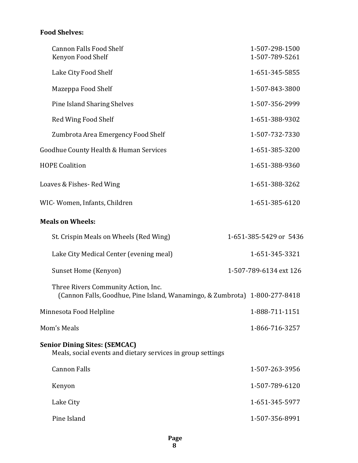#### **Food Shelves:**

| <b>Cannon Falls Food Shelf</b><br>Kenyon Food Shelf                                                               | 1-507-298-1500<br>1-507-789-5261 |  |
|-------------------------------------------------------------------------------------------------------------------|----------------------------------|--|
| Lake City Food Shelf                                                                                              | 1-651-345-5855                   |  |
| Mazeppa Food Shelf                                                                                                | 1-507-843-3800                   |  |
| <b>Pine Island Sharing Shelves</b>                                                                                | 1-507-356-2999                   |  |
| Red Wing Food Shelf                                                                                               | 1-651-388-9302                   |  |
| Zumbrota Area Emergency Food Shelf                                                                                | 1-507-732-7330                   |  |
| Goodhue County Health & Human Services                                                                            | 1-651-385-3200                   |  |
| <b>HOPE Coalition</b>                                                                                             | 1-651-388-9360                   |  |
| Loaves & Fishes-Red Wing                                                                                          | 1-651-388-3262                   |  |
| WIC-Women, Infants, Children                                                                                      | 1-651-385-6120                   |  |
| <b>Meals on Wheels:</b>                                                                                           |                                  |  |
| St. Crispin Meals on Wheels (Red Wing)                                                                            | 1-651-385-5429 or 5436           |  |
| Lake City Medical Center (evening meal)                                                                           | 1-651-345-3321                   |  |
| Sunset Home (Kenyon)                                                                                              | 1-507-789-6134 ext 126           |  |
| Three Rivers Community Action, Inc.<br>(Cannon Falls, Goodhue, Pine Island, Wanamingo, & Zumbrota) 1-800-277-8418 |                                  |  |
| Minnesota Food Helpline                                                                                           | 1-888-711-1151                   |  |
| Mom's Meals                                                                                                       | 1-866-716-3257                   |  |
| <b>Senior Dining Sites: (SEMCAC)</b><br>Meals, social events and dietary services in group settings               |                                  |  |
| <b>Cannon Falls</b>                                                                                               | 1-507-263-3956                   |  |
| Kenyon                                                                                                            | 1-507-789-6120                   |  |
| Lake City                                                                                                         | 1-651-345-5977                   |  |
| Pine Island                                                                                                       | 1-507-356-8991                   |  |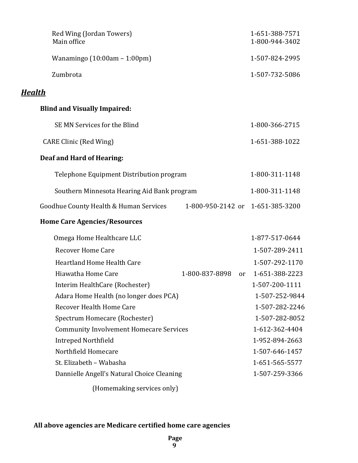| Red Wing (Jordan Towers)<br>Main office        |                                  | 1-651-388-7571<br>1-800-944-3402 |
|------------------------------------------------|----------------------------------|----------------------------------|
| Wanamingo $(10:00am - 1:00pm)$                 |                                  | 1-507-824-2995                   |
| Zumbrota                                       |                                  | 1-507-732-5086                   |
| <b>Health</b>                                  |                                  |                                  |
| <b>Blind and Visually Impaired:</b>            |                                  |                                  |
| SE MN Services for the Blind                   |                                  | 1-800-366-2715                   |
| <b>CARE Clinic (Red Wing)</b>                  |                                  | 1-651-388-1022                   |
| Deaf and Hard of Hearing:                      |                                  |                                  |
| Telephone Equipment Distribution program       |                                  | 1-800-311-1148                   |
| Southern Minnesota Hearing Aid Bank program    |                                  | 1-800-311-1148                   |
| Goodhue County Health & Human Services         | 1-800-950-2142 or 1-651-385-3200 |                                  |
| <b>Home Care Agencies/Resources</b>            |                                  |                                  |
| Omega Home Healthcare LLC                      |                                  | 1-877-517-0644                   |
| <b>Recover Home Care</b>                       |                                  | 1-507-289-2411                   |
| <b>Heartland Home Health Care</b>              |                                  | 1-507-292-1170                   |
| Hiawatha Home Care                             | 1-800-837-8898<br><sub>or</sub>  | 1-651-388-2223                   |
| Interim HealthCare (Rochester)                 |                                  | 1-507-200-1111                   |
| Adara Home Health (no longer does PCA)         |                                  | 1-507-252-9844                   |
| Recover Health Home Care                       |                                  | 1-507-282-2246                   |
| Spectrum Homecare (Rochester)                  |                                  | 1-507-282-8052                   |
| <b>Community Involvement Homecare Services</b> |                                  | 1-612-362-4404                   |
| <b>Intreped Northfield</b>                     |                                  | 1-952-894-2663                   |
| Northfield Homecare                            |                                  | 1-507-646-1457                   |
| St. Elizabeth - Wabasha                        |                                  | 1-651-565-5577                   |
| Dannielle Angell's Natural Choice Cleaning     |                                  | 1-507-259-3366                   |
| (Homemaking services only)                     |                                  |                                  |

#### **All above agencies are Medicare certified home care agencies**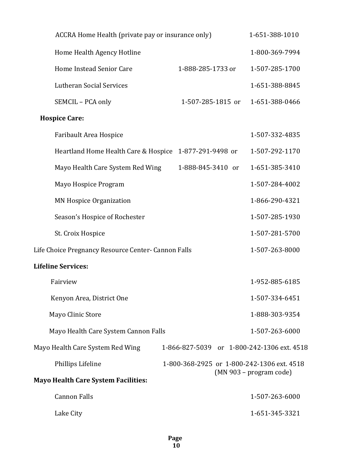| ACCRA Home Health (private pay or insurance only)   |                                            | 1-651-388-1010            |
|-----------------------------------------------------|--------------------------------------------|---------------------------|
| Home Health Agency Hotline                          |                                            | 1-800-369-7994            |
| Home Instead Senior Care                            | 1-888-285-1733 or                          | 1-507-285-1700            |
| Lutheran Social Services                            |                                            | 1-651-388-8845            |
| SEMCIL - PCA only                                   | 1-507-285-1815 or                          | 1-651-388-0466            |
| <b>Hospice Care:</b>                                |                                            |                           |
| Faribault Area Hospice                              |                                            | 1-507-332-4835            |
| Heartland Home Health Care & Hospice                | 1-877-291-9498 or                          | 1-507-292-1170            |
| Mayo Health Care System Red Wing                    | 1-888-845-3410 or                          | 1-651-385-3410            |
| Mayo Hospice Program                                |                                            | 1-507-284-4002            |
| <b>MN Hospice Organization</b>                      |                                            | 1-866-290-4321            |
| Season's Hospice of Rochester                       |                                            | 1-507-285-1930            |
| St. Croix Hospice                                   |                                            | 1-507-281-5700            |
| Life Choice Pregnancy Resource Center- Cannon Falls |                                            | 1-507-263-8000            |
| <b>Lifeline Services:</b>                           |                                            |                           |
| Fairview                                            |                                            | 1-952-885-6185            |
| Kenyon Area, District One                           |                                            | 1-507-334-6451            |
| Mayo Clinic Store                                   |                                            | 1-888-303-9354            |
| Mayo Health Care System Cannon Falls                |                                            | 1-507-263-6000            |
| Mayo Health Care System Red Wing                    | 1-866-827-5039 or 1-800-242-1306 ext. 4518 |                           |
| Phillips Lifeline                                   | 1-800-368-2925 or 1-800-242-1306 ext. 4518 | $(MN 903 - program code)$ |
| <b>Mayo Health Care System Facilities:</b>          |                                            |                           |
| <b>Cannon Falls</b>                                 |                                            | 1-507-263-6000            |
| Lake City                                           |                                            | 1-651-345-3321            |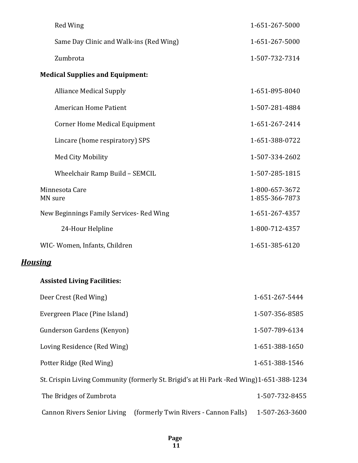| Red Wing                                                                                | 1-651-267-5000                   |
|-----------------------------------------------------------------------------------------|----------------------------------|
| Same Day Clinic and Walk-ins (Red Wing)                                                 | 1-651-267-5000                   |
| Zumbrota                                                                                | 1-507-732-7314                   |
| <b>Medical Supplies and Equipment:</b>                                                  |                                  |
| <b>Alliance Medical Supply</b>                                                          | 1-651-895-8040                   |
| American Home Patient                                                                   | 1-507-281-4884                   |
| <b>Corner Home Medical Equipment</b>                                                    | 1-651-267-2414                   |
| Lincare (home respiratory) SPS                                                          | 1-651-388-0722                   |
| <b>Med City Mobility</b>                                                                | 1-507-334-2602                   |
| Wheelchair Ramp Build - SEMCIL                                                          | 1-507-285-1815                   |
| Minnesota Care<br>MN sure                                                               | 1-800-657-3672<br>1-855-366-7873 |
| New Beginnings Family Services-Red Wing                                                 | 1-651-267-4357                   |
| 24-Hour Helpline                                                                        | 1-800-712-4357                   |
| WIC-Women, Infants, Children                                                            | 1-651-385-6120                   |
| <b>Housing</b>                                                                          |                                  |
| <b>Assisted Living Facilities:</b>                                                      |                                  |
| Deer Crest (Red Wing)                                                                   | 1-651-267-5444                   |
| Evergreen Place (Pine Island)                                                           | 1-507-356-8585                   |
| Gunderson Gardens (Kenyon)                                                              | 1-507-789-6134                   |
| Loving Residence (Red Wing)                                                             | 1-651-388-1650                   |
| Potter Ridge (Red Wing)                                                                 | 1-651-388-1546                   |
| St. Crispin Living Community (formerly St. Brigid's at Hi Park -Red Wing)1-651-388-1234 |                                  |
| The Bridges of Zumbrota                                                                 | 1-507-732-8455                   |
| (formerly Twin Rivers - Cannon Falls)<br><b>Cannon Rivers Senior Living</b>             | 1-507-263-3600                   |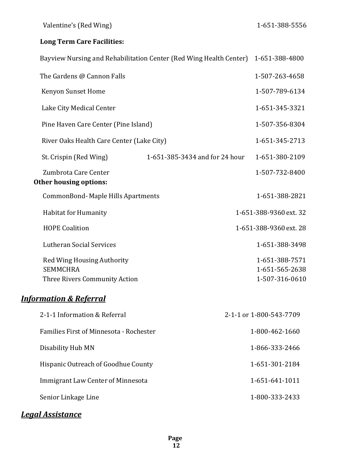#### **Long Term Care Facilities:**

|                                                                                       | Bayview Nursing and Rehabilitation Center (Red Wing Health Center) 1-651-388-4800 |                                                    |
|---------------------------------------------------------------------------------------|-----------------------------------------------------------------------------------|----------------------------------------------------|
| The Gardens @ Cannon Falls                                                            |                                                                                   | 1-507-263-4658                                     |
| Kenyon Sunset Home                                                                    |                                                                                   | 1-507-789-6134                                     |
| Lake City Medical Center                                                              |                                                                                   | 1-651-345-3321                                     |
| Pine Haven Care Center (Pine Island)                                                  |                                                                                   | 1-507-356-8304                                     |
| River Oaks Health Care Center (Lake City)                                             |                                                                                   | 1-651-345-2713                                     |
| St. Crispin (Red Wing)                                                                | 1-651-385-3434 and for 24 hour                                                    | 1-651-380-2109                                     |
| Zumbrota Care Center<br><b>Other housing options:</b>                                 |                                                                                   | 1-507-732-8400                                     |
| CommonBond-Maple Hills Apartments                                                     |                                                                                   | 1-651-388-2821                                     |
| Habitat for Humanity                                                                  |                                                                                   | 1-651-388-9360 ext. 32                             |
| <b>HOPE Coalition</b>                                                                 |                                                                                   | 1-651-388-9360 ext. 28                             |
| <b>Lutheran Social Services</b>                                                       |                                                                                   | 1-651-388-3498                                     |
| <b>Red Wing Housing Authority</b><br><b>SEMMCHRA</b><br>Three Rivers Community Action |                                                                                   | 1-651-388-7571<br>1-651-565-2638<br>1-507-316-0610 |
| <b>Information &amp; Referral</b>                                                     |                                                                                   |                                                    |
| 2-1-1 Information & Referral                                                          |                                                                                   | 2-1-1 or 1-800-543-7709                            |
| Families First of Minnesota - Rochester                                               |                                                                                   | 1-800-462-1660                                     |
| Disability Hub MN                                                                     |                                                                                   | 1-866-333-2466                                     |
| Hispanic Outreach of Goodhue County                                                   |                                                                                   | 1-651-301-2184                                     |
| <b>Immigrant Law Center of Minnesota</b>                                              |                                                                                   | 1-651-641-1011                                     |
| Senior Linkage Line                                                                   |                                                                                   | 1-800-333-2433                                     |

#### *Legal Assistance*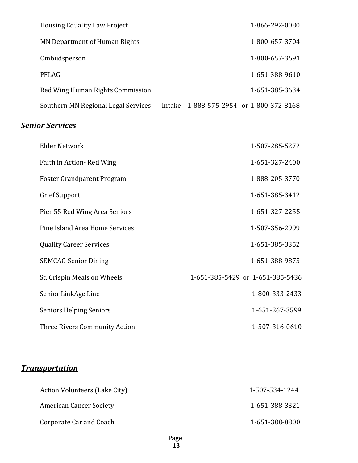| <b>Housing Equality Law Project</b> |                                           | 1-866-292-0080 |
|-------------------------------------|-------------------------------------------|----------------|
| MN Department of Human Rights       |                                           | 1-800-657-3704 |
| Ombudsperson                        |                                           | 1-800-657-3591 |
| PFLAG                               |                                           | 1-651-388-9610 |
| Red Wing Human Rights Commission    |                                           | 1-651-385-3634 |
| Southern MN Regional Legal Services | Intake – 1-888-575-2954 or 1-800-372-8168 |                |

#### *Senior Services*

| <b>Elder Network</b>           | 1-507-285-5272                   |
|--------------------------------|----------------------------------|
| Faith in Action-Red Wing       | 1-651-327-2400                   |
| Foster Grandparent Program     | 1-888-205-3770                   |
| Grief Support                  | 1-651-385-3412                   |
| Pier 55 Red Wing Area Seniors  | 1-651-327-2255                   |
| Pine Island Area Home Services | 1-507-356-2999                   |
| <b>Quality Career Services</b> | 1-651-385-3352                   |
| <b>SEMCAC-Senior Dining</b>    | 1-651-388-9875                   |
| St. Crispin Meals on Wheels    | 1-651-385-5429 or 1-651-385-5436 |
| Senior LinkAge Line            | 1-800-333-2433                   |
| <b>Seniors Helping Seniors</b> | 1-651-267-3599                   |
| Three Rivers Community Action  | 1-507-316-0610                   |

### *Transportation*

| Action Volunteers (Lake City)  | 1-507-534-1244 |
|--------------------------------|----------------|
| <b>American Cancer Society</b> | 1-651-388-3321 |
| Corporate Car and Coach        | 1-651-388-8800 |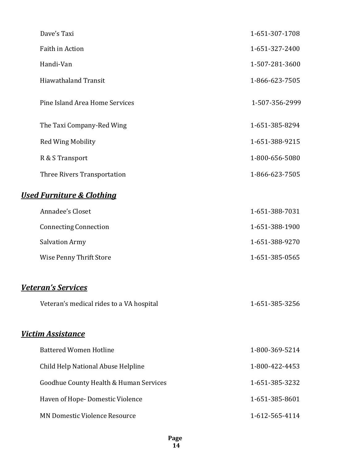| Dave's Taxi                              | 1-651-307-1708 |
|------------------------------------------|----------------|
| Faith in Action                          | 1-651-327-2400 |
| Handi-Van                                | 1-507-281-3600 |
| <b>Hiawathaland Transit</b>              | 1-866-623-7505 |
| Pine Island Area Home Services           | 1-507-356-2999 |
| The Taxi Company-Red Wing                | 1-651-385-8294 |
| <b>Red Wing Mobility</b>                 | 1-651-388-9215 |
| R & S Transport                          | 1-800-656-5080 |
| Three Rivers Transportation              | 1-866-623-7505 |
| <b>Used Furniture &amp; Clothing</b>     |                |
| Annadee's Closet                         | 1-651-388-7031 |
| <b>Connecting Connection</b>             | 1-651-388-1900 |
| <b>Salvation Army</b>                    | 1-651-388-9270 |
| Wise Penny Thrift Store                  | 1-651-385-0565 |
| <b>Veteran's Services</b>                |                |
| Veteran's medical rides to a VA hospital | 1-651-385-3256 |
| <b>Victim Assistance</b>                 |                |
| <b>Battered Women Hotline</b>            | 1-800-369-5214 |
| Child Help National Abuse Helpline       | 1-800-422-4453 |
| Goodhue County Health & Human Services   | 1-651-385-3232 |
| Haven of Hope-Domestic Violence          | 1-651-385-8601 |
| MN Domestic Violence Resource            | 1-612-565-4114 |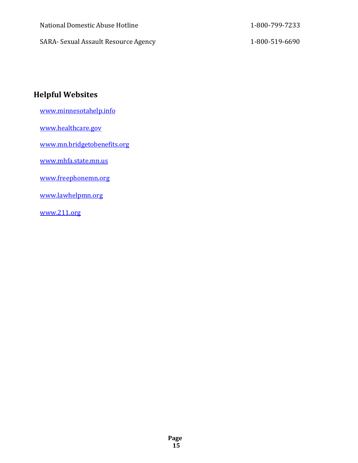| National Domestic Abuse Hotline      | 1-800-799-7233 |
|--------------------------------------|----------------|
| SARA- Sexual Assault Resource Agency | 1-800-519-6690 |

#### **Helpful Websites**

[www.minnesotahelp.info](http://www.minnesotahelp.info/)

[www.healthcare.gov](http://www.healthcare.gov/)

[www.mn.bridgetobenefits.org](http://www.mn.bridgetobenefits.org/)

[www.mhfa.state.mn.us](http://www.mhfa.state.mn.us/)

[www.freephonemn.org](http://www.freephonemn.org/)

[www.lawhelpmn.org](http://www.lawhelpmn.org/)

[www.211.org](http://www.211.org/)